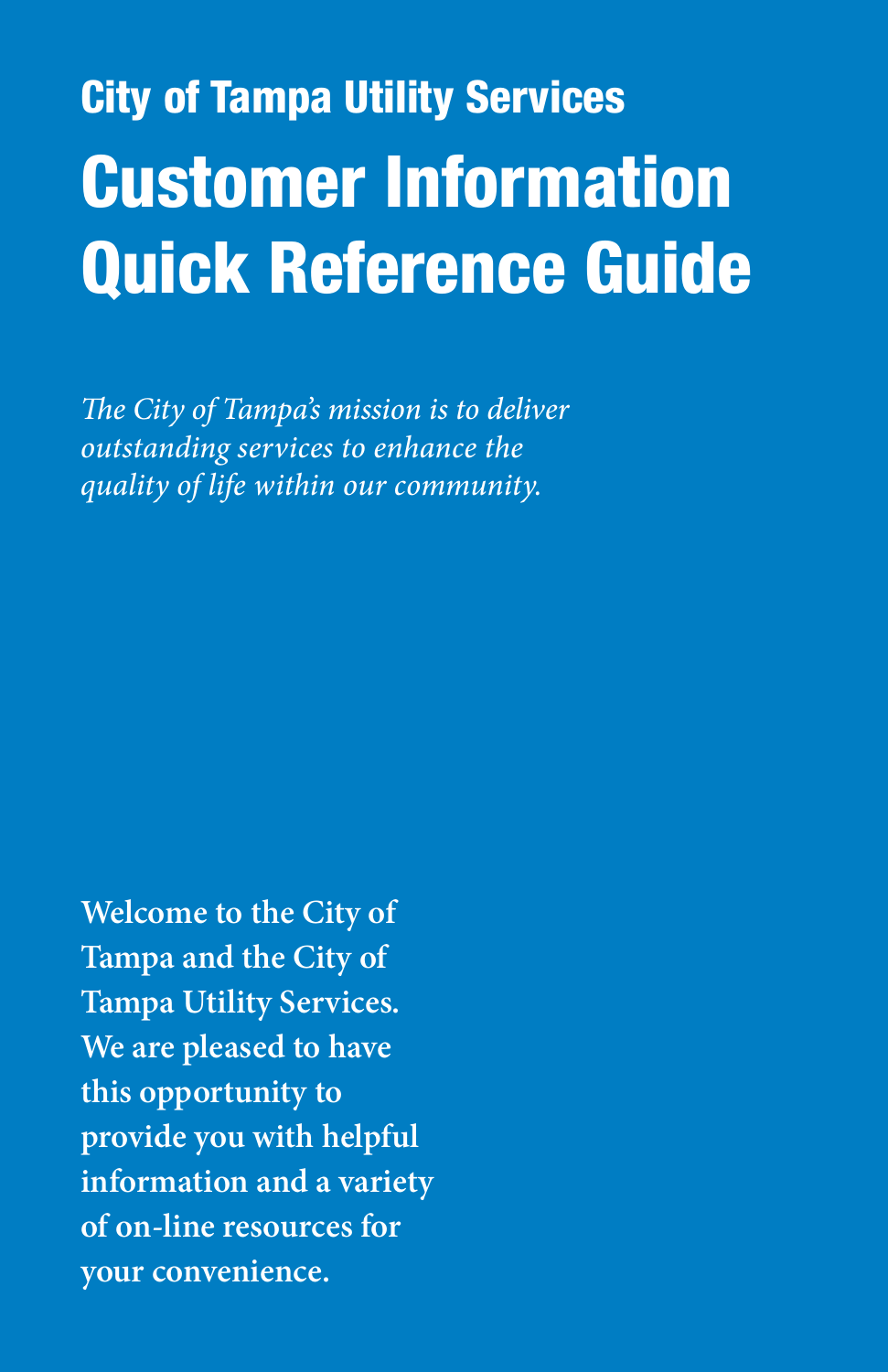# **City of Tampa Utility Services** Customer Information Quick Reference Guide

*The City of Tampa's mission is to deliver outstanding services to enhance the quality of life within our community.* 

**Welcome to the City of Tampa and the City of Tampa Utility Services. We are pleased to have this opportunity to provide you with helpful information and a variety of on-line resources for your convenience.**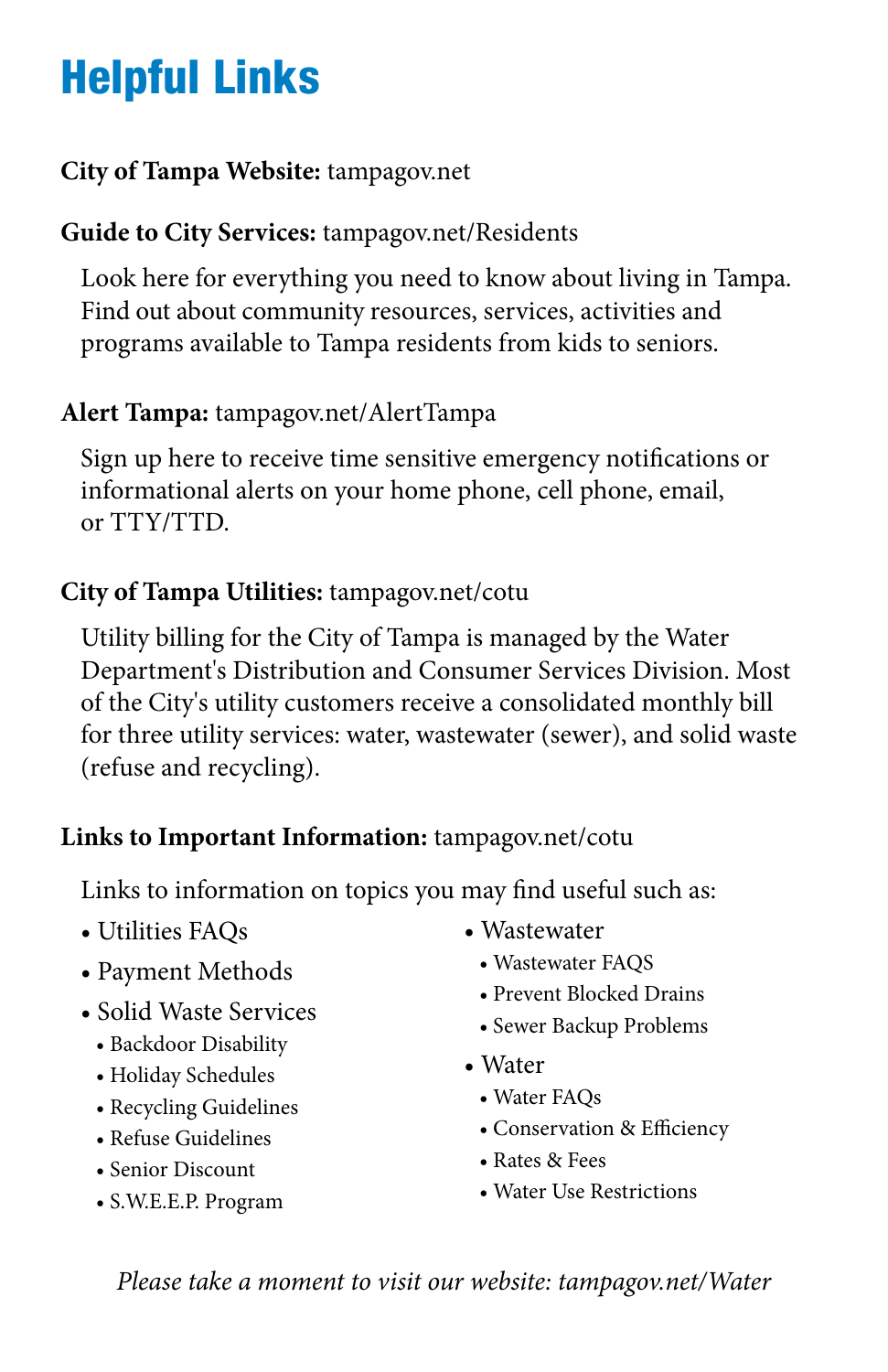# Helpful Links

#### **City of Tampa Website:** tampagov.net

### **Guide to City Services:** tampagov.net/Residents

Look here for everything you need to know about living in Tampa. Find out about community resources, services, activities and programs available to Tampa residents from kids to seniors.

### **Alert Tampa:** tampagov.net/AlertTampa

Sign up here to receive time sensitive emergency notifcations or informational alerts on your home phone, cell phone, email, or TTY/TTD.

### **City of Tampa Utilities:** tampagov.net/cotu

Utility billing for the City of Tampa is managed by the Water Department's Distribution and Consumer Services Division. Most of the City's utility customers receive a consolidated monthly bill for three utility services: water, wastewater (sewer), and solid waste (refuse and recycling).

### **Links to Important Information:** tampagov.net/cotu

Links to information on topics you may fnd useful such as:

- Utilities FAQs Wastewater
- 
- -
	-
	-
	-
	-
	-
- -
	-
	-
- -
- Payment Methods<br>
Solid Waste Services<br>
Backdoor Disability<br>
Holiday Schedules<br>
Recycling Guidelines<br>
Refuse Guidelines<br>
Refuse Guidelines<br>
Semior Discount<br>
S.W.E.E.P. Program<br>
Water BAQs<br>
Conservation
	-
	-

*Please take a moment to visit our website: tampagov.net/Water*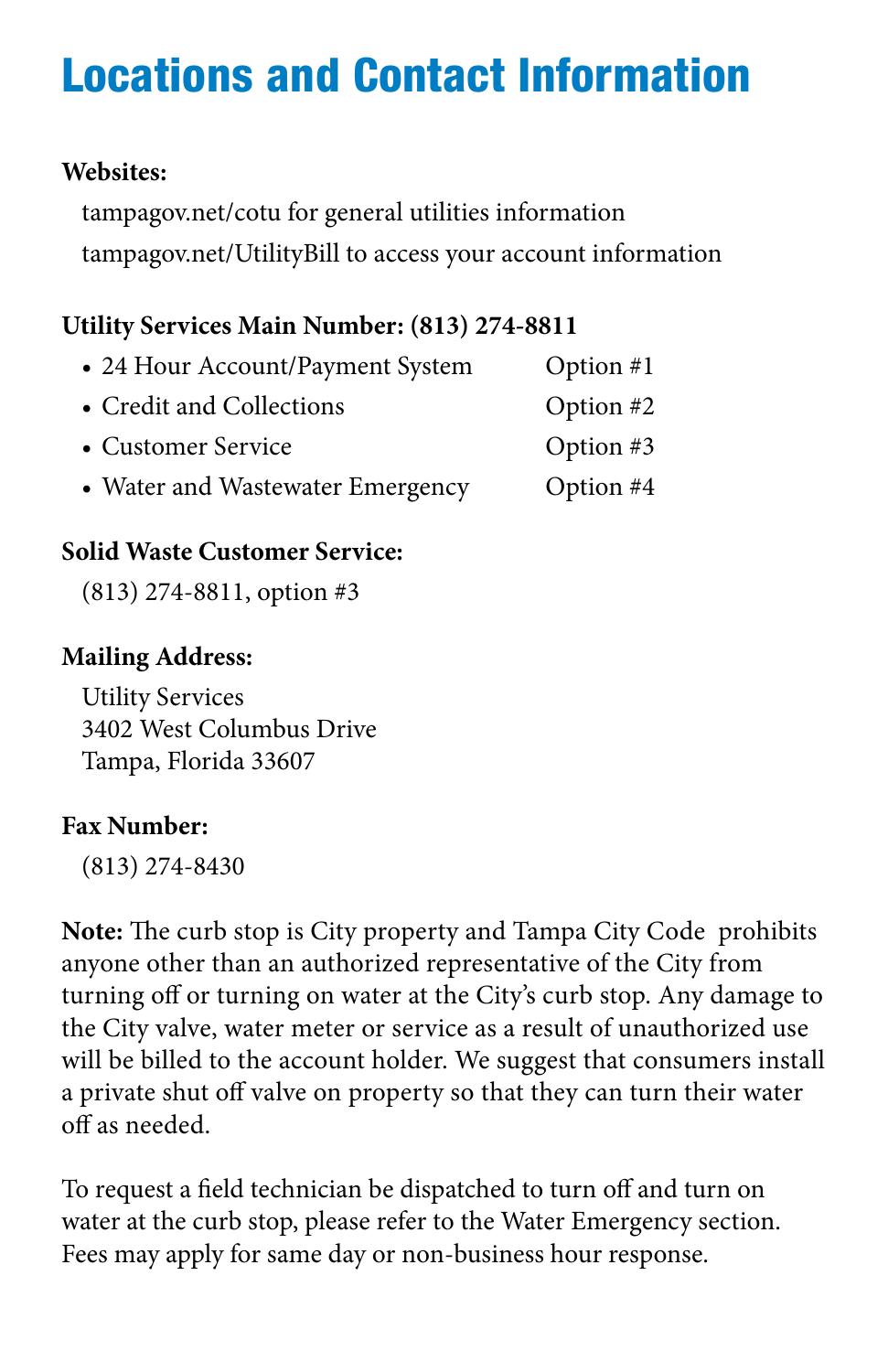# Locations and Contact Information

### **Websites:**

tampagov.net/cotu for general utilities information tampagov.net/UtilityBill to access your account information

### **Utility Services Main Number: (813) 274-8811**

| • 24 Hour Account/Payment System | Option $#1$ |
|----------------------------------|-------------|
| • Credit and Collections         | Option $#2$ |
| • Customer Service               | Option $#3$ |
| • Water and Wastewater Emergency | Option $#4$ |

### **Solid Waste Customer Service:**

(813) 274-8811, option #3

### **Mailing Address:**

Utility Services 3402 West Columbus Drive Tampa, Florida 33607

### **Fax Number:**

(813) 274-8430

Note: The curb stop is City property and Tampa City Code prohibits anyone other than an authorized representative of the City from turning off or turning on water at the City's curb stop. Any damage to the City valve, water meter or service as a result of unauthorized use will be billed to the account holder. We suggest that consumers install a private shut off valve on property so that they can turn their water of as needed.

To request a feld technician be dispatched to turn of and turn on water at the curb stop, please refer to the Water Emergency section. Fees may apply for same day or non-business hour response.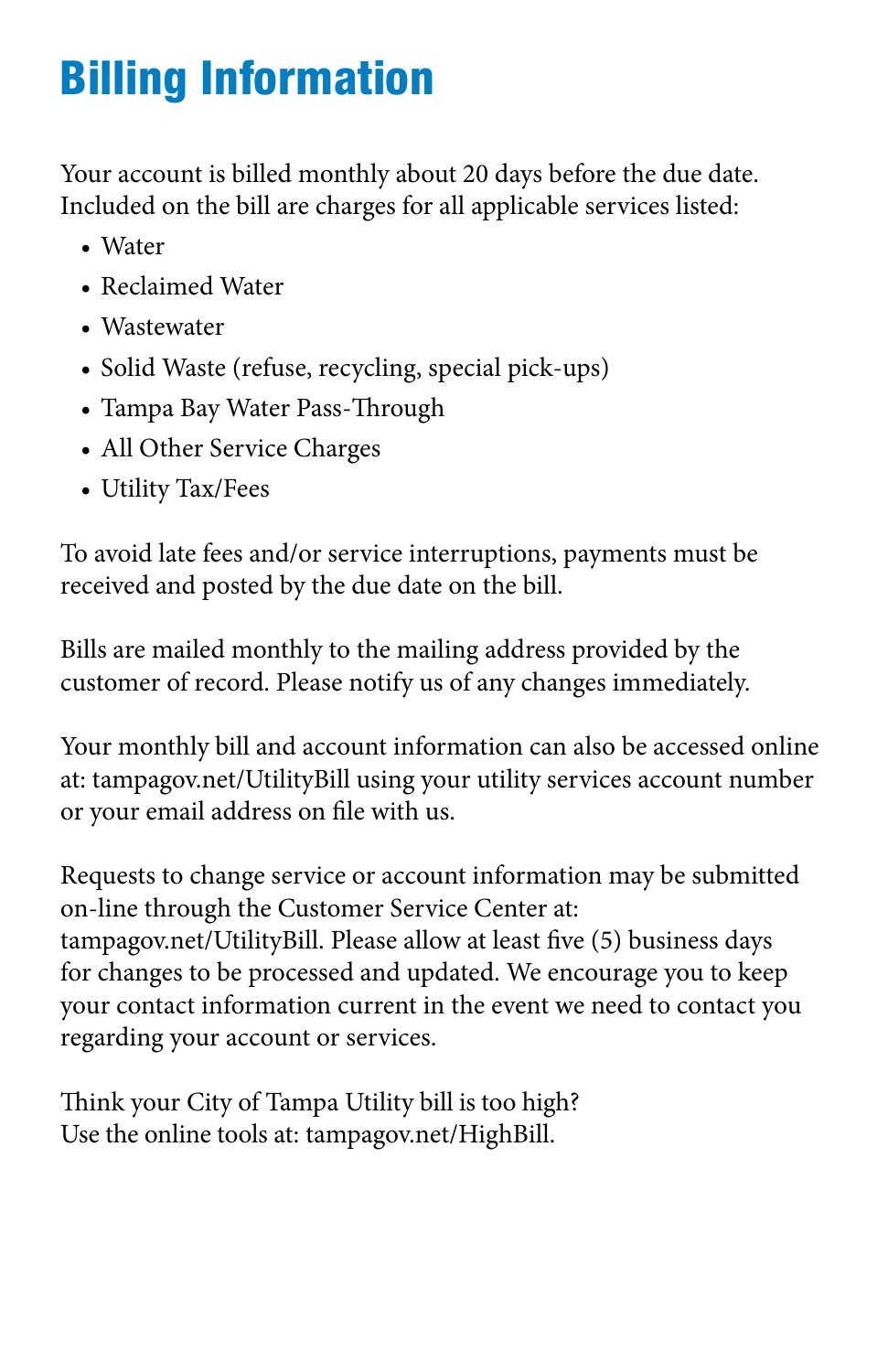# Billing Information

Your account is billed monthly about 20 days before the due date. Included on the bill are charges for all applicable services listed:

- Water
- Reclaimed Water
- Wastewater
- Solid Waste (refuse, recycling, special pick-ups)
- Tampa Bay Water Pass-Through
- All Other Service Charges
- Utility Tax/Fees

To avoid late fees and/or service interruptions, payments must be received and posted by the due date on the bill.

Bills are mailed monthly to the mailing address provided by the customer of record. Please notify us of any changes immediately.

Your monthly bill and account information can also be accessed online at: tampagov.net/UtilityBill using your utility services account number or your email address on fle with us.

Requests to change service or account information may be submitted on-line through the Customer Service Center at: tampagov.net/UtilityBill. Please allow at least fve (5) business days for changes to be processed and updated. We encourage you to keep your contact information current in the event we need to contact you regarding your account or services.

Think your City of Tampa Utility bill is too high? Use the online tools at: tampagov.net/HighBill.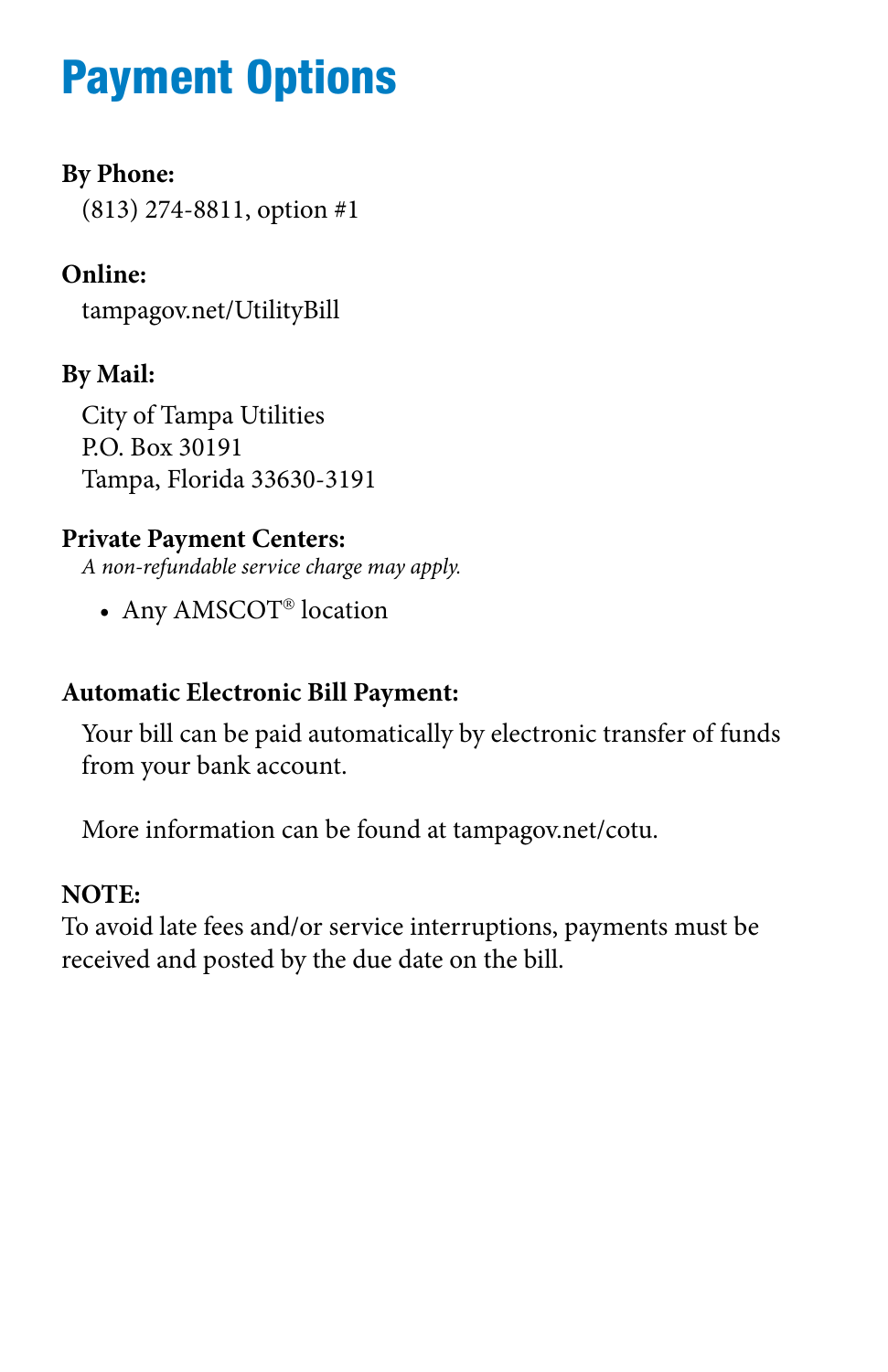### Payment Options

#### **By Phone:**

(813) 274-8811, option #1

### **Online:**

tampagov.net/UtilityBill

### **By Mail:**

City of Tampa Utilities P.O. Box 30191 Tampa, Florida 33630-3191

### **Private Payment Centers:**

*A non-refundable service charge may apply.* 

• Any AMSCOT<sup>®</sup> location

### **Automatic Electronic Bill Payment:**

Your bill can be paid automatically by electronic transfer of funds from your bank account.

More information can be found at tampagov.net/cotu.

### **NOTE:**

To avoid late fees and/or service interruptions, payments must be received and posted by the due date on the bill.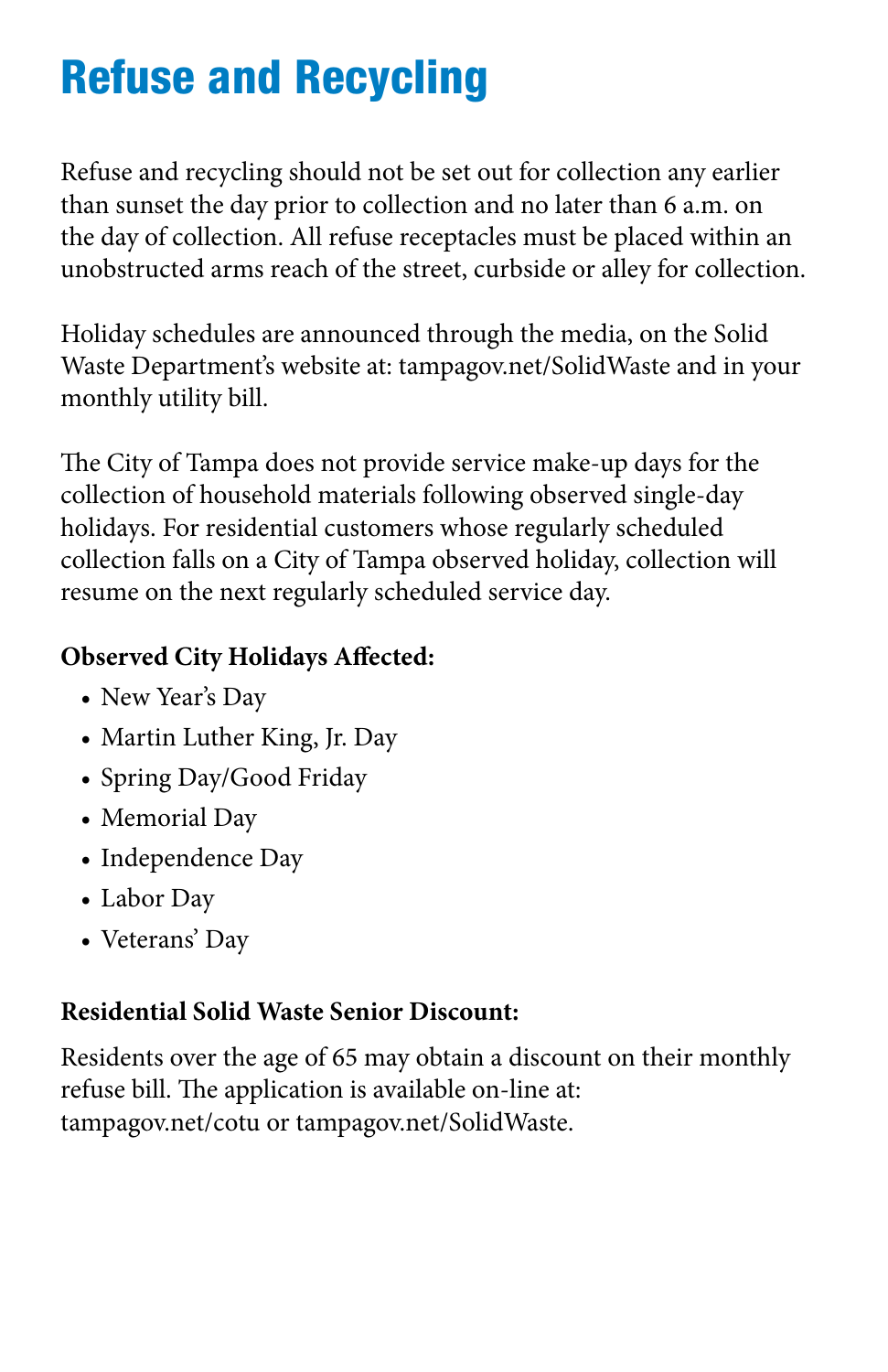# Refuse and Recycling

Refuse and recycling should not be set out for collection any earlier than sunset the day prior to collection and no later than 6 a.m. on the day of collection. All refuse receptacles must be placed within an unobstructed arms reach of the street, curbside or alley for collection.

Holiday schedules are announced through the media, on the Solid Waste Department's website at: tampagov.net/SolidWaste and in your monthly utility bill.

The City of Tampa does not provide service make-up days for the collection of household materials following observed single-day holidays. For residential customers whose regularly scheduled collection falls on a City of Tampa observed holiday, collection will resume on the next regularly scheduled service day.

### **Observed City Holidays Afected:**

- New Year's Day
- Martin Luther King, Jr. Day
- Spring Day/Good Friday
- Memorial Day
- Independence Day
- Labor Day
- Veterans' Day

### **Residential Solid Waste Senior Discount:**

Residents over the age of 65 may obtain a discount on their monthly refuse bill. The application is available on-line at: tampagov.net/cotu or tampagov.net/SolidWaste.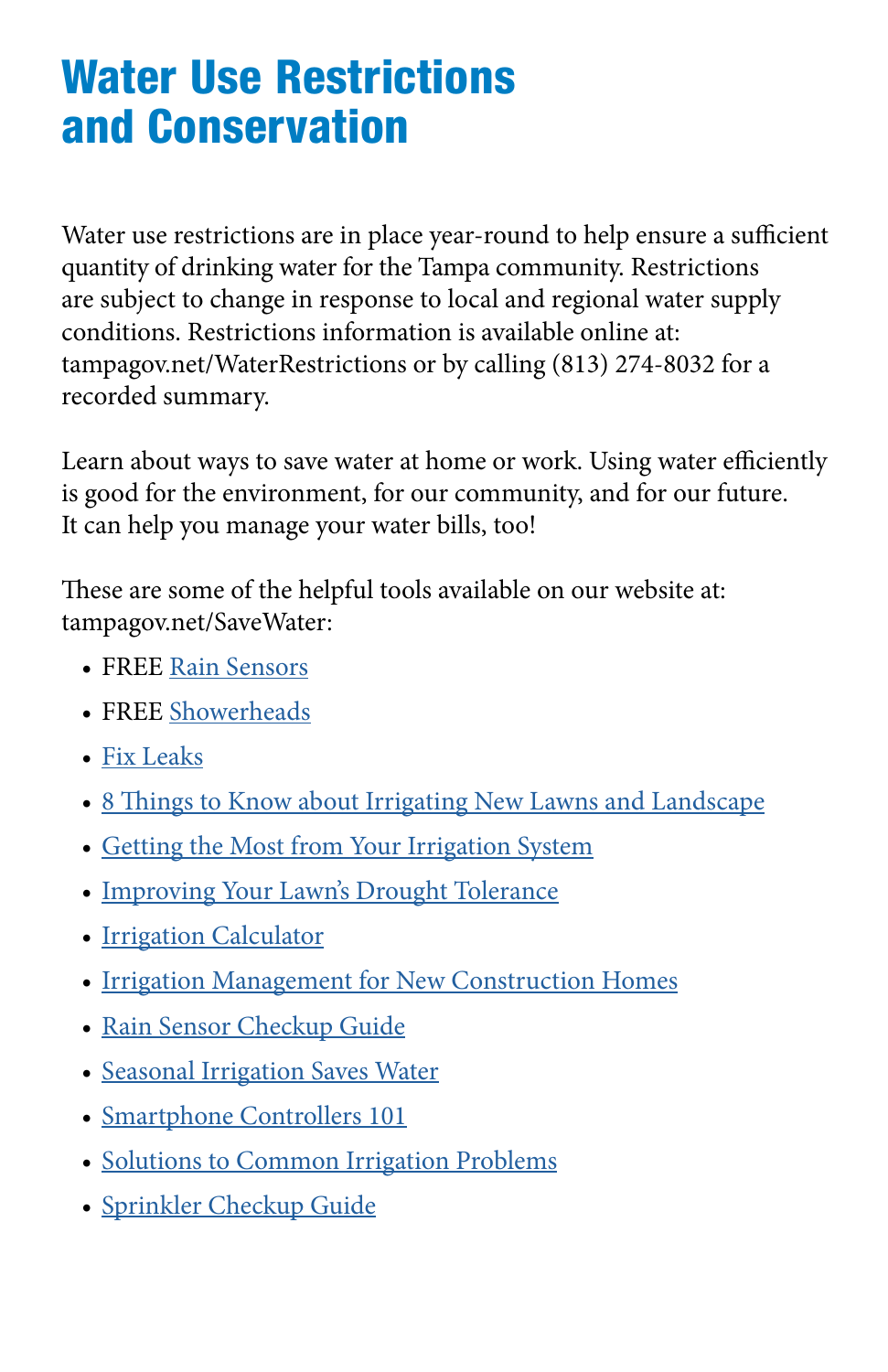### Water Use Restrictions and Conservation

 quantity of drinking water for the Tampa community. Restrictions Water use restrictions are in place year-round to help ensure a sufficient are subject to change in response to local and regional water supply conditions. Restrictions information is available online at: tampagov.net/WaterRestrictions or by calling (813) 274-8032 for a recorded summary.

Learn about ways to save water at home or work. Using water efficiently is good for the environment, for our community, and for our future. It can help you manage your water bills, too!

These are some of the helpful tools available on our website at: tampagov.net/SaveWater:

- FREE [Rain Sensors](https://www.tampagov.net/water/programs/water-conservation/rain-sensors)
- FREE [Showerheads](https://www.tampagov.net/water/programs/water-conservation/plumbing-retrofit)
- [Fix Leaks](https://www.tampagov.net/water/info/saving-water/fix-leaks)
- 8 Things to Know about Irrigating New Lawns and Landscape
- [Getting the Most from Your Irrigation System](https://www.tampagov.net/water/info/getting-most-your-irrigation-system)
- [Improving Your Lawn's Drought Tolerance](https://www.tampagov.net/water/improving-your-lawns-drought-tolerance)
- [Irrigation Calculator](https://www.tampagov.net/sites/default/files/water/files/Irrigation_Calculator.pdf)
- [Irrigation Management for New Construction Homes](https://www.tampagov.net/water/irrigation-management-new-construction-homes)
- [Rain Sensor Checkup Guide](https://www.tampagov.net/water/info/saving-water/sprinkler-checkup/do-it-yourself-rain-sensor-checkup)
- [Seasonal Irrigation Saves Water](https://www.tampagov.net/water/seasonal-irrigation-saves-water)
- [Smartphone Controllers 101](https://www.tampagov.net/water/smartphone-controllers-101)
- [Solutions to Common Irrigation Problems](https://www.tampagov.net/water/info/saving-water/sprinkler-checkup/solutions-to-common-sprinkler-problems)
- [Sprinkler Checkup Guide](https://www.tampagov.net/water/info/saving-water/sprinkler-checkup)